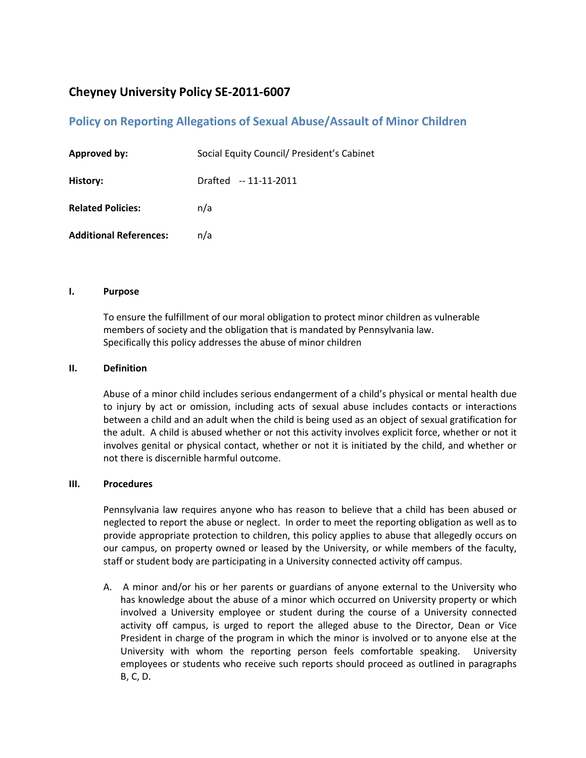# **Cheyney University Policy SE-2011-6007**

## **Policy on Reporting Allegations of Sexual Abuse/Assault of Minor Children**

| <b>Approved by:</b>           | Social Equity Council/ President's Cabinet |
|-------------------------------|--------------------------------------------|
| History:                      | Drafted -- 11-11-2011                      |
| <b>Related Policies:</b>      | n/a                                        |
| <b>Additional References:</b> | n/a                                        |

#### **I. Purpose**

To ensure the fulfillment of our moral obligation to protect minor children as vulnerable members of society and the obligation that is mandated by Pennsylvania law. Specifically this policy addresses the abuse of minor children

### **II. Definition**

Abuse of a minor child includes serious endangerment of a child's physical or mental health due to injury by act or omission, including acts of sexual abuse includes contacts or interactions between a child and an adult when the child is being used as an object of sexual gratification for the adult. A child is abused whether or not this activity involves explicit force, whether or not it involves genital or physical contact, whether or not it is initiated by the child, and whether or not there is discernible harmful outcome.

#### **III. Procedures**

Pennsylvania law requires anyone who has reason to believe that a child has been abused or neglected to report the abuse or neglect. In order to meet the reporting obligation as well as to provide appropriate protection to children, this policy applies to abuse that allegedly occurs on our campus, on property owned or leased by the University, or while members of the faculty, staff or student body are participating in a University connected activity off campus.

A. A minor and/or his or her parents or guardians of anyone external to the University who has knowledge about the abuse of a minor which occurred on University property or which involved a University employee or student during the course of a University connected activity off campus, is urged to report the alleged abuse to the Director, Dean or Vice President in charge of the program in which the minor is involved or to anyone else at the University with whom the reporting person feels comfortable speaking. University employees or students who receive such reports should proceed as outlined in paragraphs B, C, D.